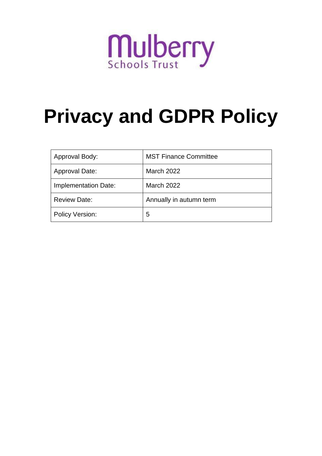

# **Privacy and GDPR Policy**

| Approval Body:        | <b>MST Finance Committee</b> |
|-----------------------|------------------------------|
| <b>Approval Date:</b> | March 2022                   |
| Implementation Date:  | March 2022                   |
| <b>Review Date:</b>   | Annually in autumn term      |
| Policy Version:       | 5                            |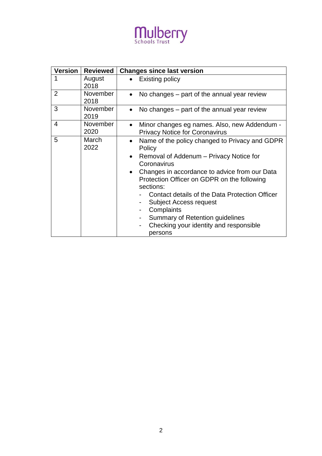## Mulberry

| <b>Version</b> | <b>Reviewed</b>         | <b>Changes since last version</b>                                                                                                                                                                                                                                                                                                                                                                                                                                                           |
|----------------|-------------------------|---------------------------------------------------------------------------------------------------------------------------------------------------------------------------------------------------------------------------------------------------------------------------------------------------------------------------------------------------------------------------------------------------------------------------------------------------------------------------------------------|
|                | August<br>2018          | Existing policy                                                                                                                                                                                                                                                                                                                                                                                                                                                                             |
| $\overline{2}$ | November<br>2018        | No changes – part of the annual year review<br>$\bullet$                                                                                                                                                                                                                                                                                                                                                                                                                                    |
| 3              | November<br>2019        | No changes – part of the annual year review                                                                                                                                                                                                                                                                                                                                                                                                                                                 |
| 4              | <b>November</b><br>2020 | Minor changes eg names. Also, new Addendum -<br><b>Privacy Notice for Coronavirus</b>                                                                                                                                                                                                                                                                                                                                                                                                       |
| 5              | March<br>2022           | Name of the policy changed to Privacy and GDPR<br>$\bullet$<br>Policy<br>Removal of Addenum – Privacy Notice for<br>$\bullet$<br>Coronavirus<br>Changes in accordance to advice from our Data<br>$\bullet$<br>Protection Officer on GDPR on the following<br>sections:<br>Contact details of the Data Protection Officer<br><b>Subject Access request</b><br>Complaints<br>Summary of Retention guidelines<br>$\overline{\phantom{a}}$<br>Checking your identity and responsible<br>persons |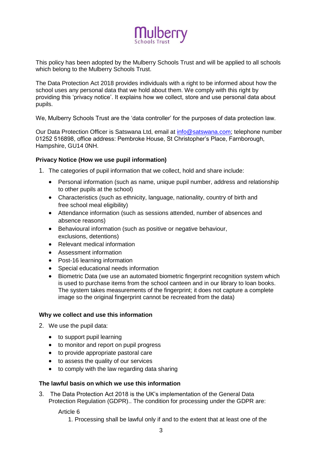

This policy has been adopted by the Mulberry Schools Trust and will be applied to all schools which belong to the Mulberry Schools Trust.

The Data Protection Act 2018 provides individuals with a right to be informed about how the school uses any personal data that we hold about them. We comply with this right by providing this 'privacy notice'. It explains how we collect, store and use personal data about pupils.

We, Mulberry Schools Trust are the 'data controller' for the purposes of data protection law.

Our Data Protection Officer is Satswana Ltd, email at [info@satswana.com;](mailto:info@satswana.com) telephone number 01252 516898, office address: Pembroke House, St Christopher's Place, Farnborough, Hampshire, GU14 0NH.

#### **Privacy Notice (How we use pupil information)**

- 1. The categories of pupil information that we collect, hold and share include:
	- Personal information (such as name, unique pupil number, address and relationship to other pupils at the school)
	- Characteristics (such as ethnicity, language, nationality, country of birth and free school meal eligibility)
	- Attendance information (such as sessions attended, number of absences and absence reasons)
	- Behavioural information (such as positive or negative behaviour, exclusions, detentions)
	- Relevant medical information
	- Assessment information
	- Post-16 learning information
	- Special educational needs information
	- Biometric Data (we use an automated biometric fingerprint recognition system which is used to purchase items from the school canteen and in our library to loan books. The system takes measurements of the fingerprint; it does not capture a complete image so the original fingerprint cannot be recreated from the data)

#### **Why we collect and use this information**

- 2. We use the pupil data:
	- to support pupil learning
	- to monitor and report on pupil progress
	- to provide appropriate pastoral care
	- to assess the quality of our services
	- to comply with the law regarding data sharing

#### **The lawful basis on which we use this information**

3. The Data Protection Act 2018 is the UK's implementation of the General Data Protection Regulation (GDPR).. The condition for processing under the GDPR are:

Article 6

1. Processing shall be lawful only if and to the extent that at least one of the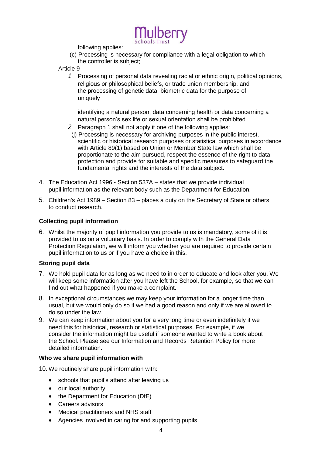

following applies:

(c) Processing is necessary for compliance with a legal obligation to which the controller is subject;

Article 9

*1.* Processing of personal data revealing racial or ethnic origin, political opinions, religious or philosophical beliefs, or trade union membership, and the processing of genetic data, biometric data for the purpose of uniquely

identifying a natural person, data concerning health or data concerning a natural person's sex life or sexual orientation shall be prohibited.

- *2.* Paragraph 1 shall not apply if one of the following applies:
- (j) Processing is necessary for archiving purposes in the public interest, scientific or historical research purposes or statistical purposes in accordance with Article 89(1) based on Union or Member State law which shall be proportionate to the aim pursued, respect the essence of the right to data protection and provide for suitable and specific measures to safeguard the fundamental rights and the interests of the data subject.
- 4. The Education Act 1996 Section 537A states that we provide individual pupil information as the relevant body such as the Department for Education.
- 5. Children's Act 1989 Section 83 places a duty on the Secretary of State or others to conduct research.

#### **Collecting pupil information**

6. Whilst the majority of pupil information you provide to us is mandatory, some of it is provided to us on a voluntary basis. In order to comply with the General Data Protection Regulation, we will inform you whether you are required to provide certain pupil information to us or if you have a choice in this.

#### **Storing pupil data**

- 7. We hold pupil data for as long as we need to in order to educate and look after you. We will keep some information after you have left the School, for example, so that we can find out what happened if you make a complaint.
- 8. In exceptional circumstances we may keep your information for a longer time than usual, but we would only do so if we had a good reason and only if we are allowed to do so under the law.
- 9. We can keep information about you for a very long time or even indefinitely if we need this for historical, research or statistical purposes. For example, if we consider the information might be useful if someone wanted to write a book about the School. Please see our Information and Records Retention Policy for more detailed information.

#### **Who we share pupil information with**

10. We routinely share pupil information with:

- schools that pupil's attend after leaving us
- our local authority
- the Department for Education (DfE)
- Careers advisors
- Medical practitioners and NHS staff
- Agencies involved in caring for and supporting pupils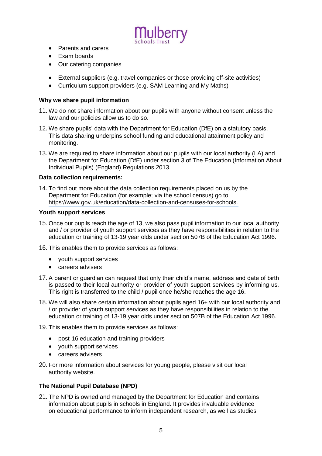

- Parents and carers
- Exam boards
- Our catering companies
- External suppliers (e.g. travel companies or those providing off-site activities)
- Curriculum support providers (e.g. SAM Learning and My Maths)

#### **Why we share pupil information**

- 11. We do not share information about our pupils with anyone without consent unless the law and our policies allow us to do so.
- 12. We share pupils' data with the Department for Education (DfE) on a statutory basis. This data sharing underpins school funding and educational attainment policy and monitoring.
- 13. We are required to share information about our pupils with our local authority (LA) and the Department for Education (DfE) under section 3 of The Education (Information About Individual Pupils) (England) Regulations 2013.

#### **Data collection requirements:**

14. To find out more about the data collection requirements placed on us by the Department for Education (for example; via the school census) go to https:/[/www.gov.uk/education/data-collection-and-censuses-for-schools.](http://www.gov.uk/education/data-collection-and-censuses-for-schools)

#### **Youth support services**

- 15. Once our pupils reach the age of 13, we also pass pupil information to our local authority and / or provider of youth support services as they have responsibilities in relation to the education or training of 13-19 year olds under section 507B of the Education Act 1996.
- 16. This enables them to provide services as follows:
	- youth support services
	- careers advisers
- 17. A parent or guardian can request that only their child's name, address and date of birth is passed to their local authority or provider of youth support services by informing us. This right is transferred to the child / pupil once he/she reaches the age 16.
- 18. We will also share certain information about pupils aged 16+ with our local authority and / or provider of youth support services as they have responsibilities in relation to the education or training of 13-19 year olds under section 507B of the Education Act 1996.
- 19. This enables them to provide services as follows:
	- post-16 education and training providers
	- youth support services
	- careers advisers
- 20. For more information about services for young people, please visit our local authority website.

#### **The National Pupil Database (NPD)**

21. The NPD is owned and managed by the Department for Education and contains information about pupils in schools in England. It provides invaluable evidence on educational performance to inform independent research, as well as studies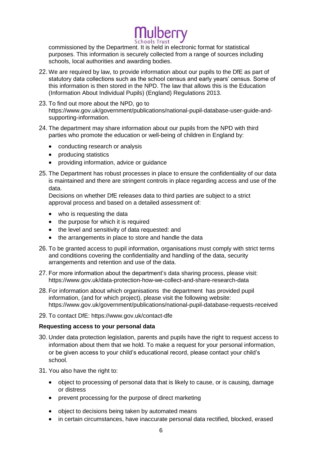lulberry

commissioned by the Department. It is held in electronic format for statistical purposes. This information is securely collected from a range of sources including schools, local authorities and awarding bodies.

- 22. We are required by law, to provide information about our pupils to the DfE as part of statutory data collections such as the school census and early years' census. Some of this information is then stored in the NPD. The law that allows this is the Education (Information About Individual Pupils) (England) Regulations 2013.
- 23. To find out more about the NPD, go to https:/[/www.gov.uk/government/publications/national-pupil-database-user-guide-and](http://www.gov.uk/government/publications/national-pupil-database-user-guide-and-)supporting-information.
- 24. The department may share information about our pupils from the NPD with third parties who promote the education or well-being of children in England by:
	- conducting research or analysis
	- producing statistics
	- providing information, advice or guidance
- 25. The Department has robust processes in place to ensure the confidentiality of our data is maintained and there are stringent controls in place regarding access and use of the data.

Decisions on whether DfE releases data to third parties are subject to a strict approval process and based on a detailed assessment of:

- who is requesting the data
- the purpose for which it is required
- the level and sensitivity of data requested: and
- the arrangements in place to store and handle the data
- 26. To be granted access to pupil information, organisations must comply with strict terms and conditions covering the confidentiality and handling of the data, security arrangements and retention and use of the data.
- 27. For more information about the department's data sharing process, please visit: https:/[/www.gov.uk/data-protection-how-we-collect-and-share-research-data](http://www.gov.uk/data-protection-how-we-collect-and-share-research-data)
- 28. For information about which organisations the department has provided pupil information, (and for which project), please visit the following website: https:/[/www.gov.uk/government/publications/national-pupil-database-requests-received](http://www.gov.uk/government/publications/national-pupil-database-requests-received)
- 29. To contact DfE: https:/[/www.gov.uk/contact-dfe](http://www.gov.uk/contact-dfe)

#### **Requesting access to your personal data**

- 30. Under data protection legislation, parents and pupils have the right to request access to information about them that we hold. To make a request for your personal information, or be given access to your child's educational record, please contact your child's school.
- 31. You also have the right to:
	- object to processing of personal data that is likely to cause, or is causing, damage or distress
	- prevent processing for the purpose of direct marketing
	- object to decisions being taken by automated means
	- in certain circumstances, have inaccurate personal data rectified, blocked, erased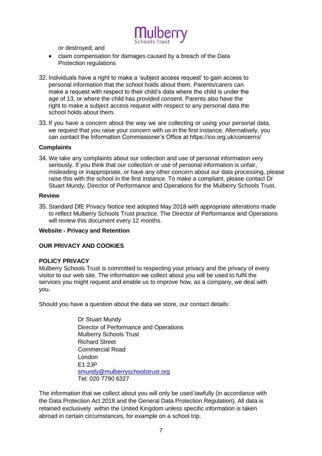

or destroyed; and

- claim compensation for damages caused by a breach of the Data Protection regulations
- 32. Individuals have a right to make a 'subject access request' to gain access to personal information that the school holds about them. Parents/carers can make a request with respect to their child's data where the child is under the age of 13, or where the child has provided consent. Parents also have the right to make a subject access request with respect to any personal data the school holds about them.
- 33. If you have a concern about the way we are collecting or using your personal data, we request that you raise your concern with us in the first instance. Alternatively, you can contact the Information Commissioner's Office at https://ico.org.uk/concerns/

#### **Complaints**

34. We take any complaints about our collection and use of personal information very seriously. If you think that our collection or use of personal information is unfair, misleading or inappropriate, or have any other concern about our data processing, please raise this with the school in the first instance. To make a compliant, please contact Dr Stuart Mundy, Director of Performance and Operations for the Mulberry Schools Trust.

#### **Review**

35. Standard DfE Privacy Notice text adopted May 2018 with appropriate alterations made to reflect Mulberry Schools Trust practice. The Director of Performance and Operations will review this document every 12 months.

#### **Website - Privacy and Retention**

#### **OUR PRIVACY AND COOKIES**

#### **POLICY PRIVACY**

Mulberry Schools Trust is committed to respecting your privacy and the privacy of every visitor to our web site. The information we collect about you will be used to fulfil the services you might request and enable us to improve how, as a company, we deal with you.

Should you have a question about the data we store, our contact details:

Dr Stuart Mundy Director of Performance and Operations Mulberry Schools Trust Richard Street Commercial Road London E1 2JP [smundy@mulberryschoolstrust.org](mailto:smundy@mulberryschoolstrust.org) Tel: 020 7790 6327

The information that we collect about you will only be used lawfully (in accordance with the Data Protection Act 2018 and the General Data Protection Regulation). All data is retained exclusively within the United Kingdom unless specific information is taken abroad in certain circumstances, for example on a school trip.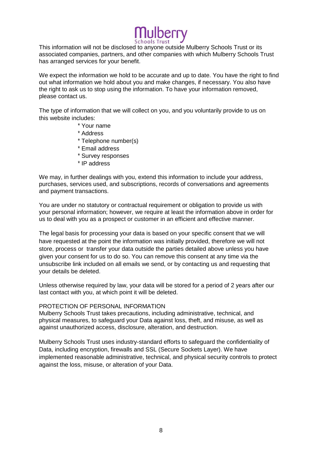This information will not be disclosed to anyone outside Mulberry Schools Trust or its associated companies, partners, and other companies with which Mulberry Schools Trust has arranged services for your benefit.

We expect the information we hold to be accurate and up to date. You have the right to find out what information we hold about you and make changes, if necessary. You also have the right to ask us to stop using the information. To have your information removed, please contact us.

The type of information that we will collect on you, and you voluntarily provide to us on this website includes:

- \* Your name
- \* Address
- \* Telephone number(s)
- \* Email address
- \* Survey responses
- \* IP address

We may, in further dealings with you, extend this information to include your address, purchases, services used, and subscriptions, records of conversations and agreements and payment transactions.

You are under no statutory or contractual requirement or obligation to provide us with your personal information; however, we require at least the information above in order for us to deal with you as a prospect or customer in an efficient and effective manner.

The legal basis for processing your data is based on your specific consent that we will have requested at the point the information was initially provided, therefore we will not store, process or transfer your data outside the parties detailed above unless you have given your consent for us to do so. You can remove this consent at any time via the unsubscribe link included on all emails we send, or by contacting us and requesting that your details be deleted.

Unless otherwise required by law, your data will be stored for a period of 2 years after our last contact with you, at which point it will be deleted.

#### PROTECTION OF PERSONAL INFORMATION

Mulberry Schools Trust takes precautions, including administrative, technical, and physical measures, to safeguard your Data against loss, theft, and misuse, as well as against unauthorized access, disclosure, alteration, and destruction.

Mulberry Schools Trust uses industry-standard efforts to safeguard the confidentiality of Data, including encryption, firewalls and SSL (Secure Sockets Layer). We have implemented reasonable administrative, technical, and physical security controls to protect against the loss, misuse, or alteration of your Data.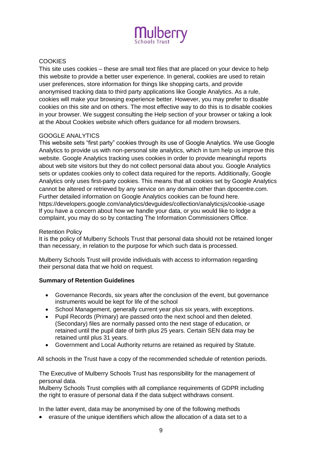

### **COOKIES**

This site uses cookies – these are small text files that are placed on your device to help this website to provide a better user experience. In general, cookies are used to retain user preferences, store information for things like shopping carts, and provide anonymised tracking data to third party applications like Google Analytics. As a rule, cookies will make your browsing experience better. However, you may prefer to disable cookies on this site and on others. The most effective way to do this is to disable cookies in your browser. We suggest consulting the Help section of your browser or taking a look at the About Cookies website which offers guidance for all modern browsers.

#### GOOGLE ANALYTICS

This website sets "first party" cookies through its use of Google Analytics. We use Google Analytics to provide us with non-personal site analytics, which in turn help us improve this website. Google Analytics tracking uses cookies in order to provide meaningful reports about web site visitors but they do not collect personal data about you. Google Analytics sets or updates cookies only to collect data required for the reports. Additionally, Google Analytics only uses first-party cookies. This means that all cookies set by Google Analytics cannot be altered or retrieved by any service on any domain other than dpocentre.com. Further detailed information on Google Analytics cookies can be found here. https://developers.google.com/analytics/devguides/collection/analyticsjs/cookie-usage If you have a concern about how we handle your data, or you would like to lodge a complaint, you may do so by contacting The Information Commissioners Office.

#### Retention Policy

It is the policy of Mulberry Schools Trust that personal data should not be retained longer than necessary, in relation to the purpose for which such data is processed.

Mulberry Schools Trust will provide individuals with access to information regarding their personal data that we hold on request.

### **Summary of Retention Guidelines**

- Governance Records, six years after the conclusion of the event, but governance instruments would be kept for life of the school
- School Management, generally current year plus six years, with exceptions.
- Pupil Records (Primary) are passed onto the next school and then deleted. (Secondary) files are normally passed onto the next stage of education, or retained until the pupil date of birth plus 25 years. Certain SEN data may be retained until plus 31 years.
- Government and Local Authority returns are retained as required by Statute.

All schools in the Trust have a copy of the recommended schedule of retention periods.

The Executive of Mulberry Schools Trust has responsibility for the management of personal data.

Mulberry Schools Trust complies with all compliance requirements of GDPR including the right to erasure of personal data if the data subject withdraws consent.

In the latter event, data may be anonymised by one of the following methods

erasure of the unique identifiers which allow the allocation of a data set to a